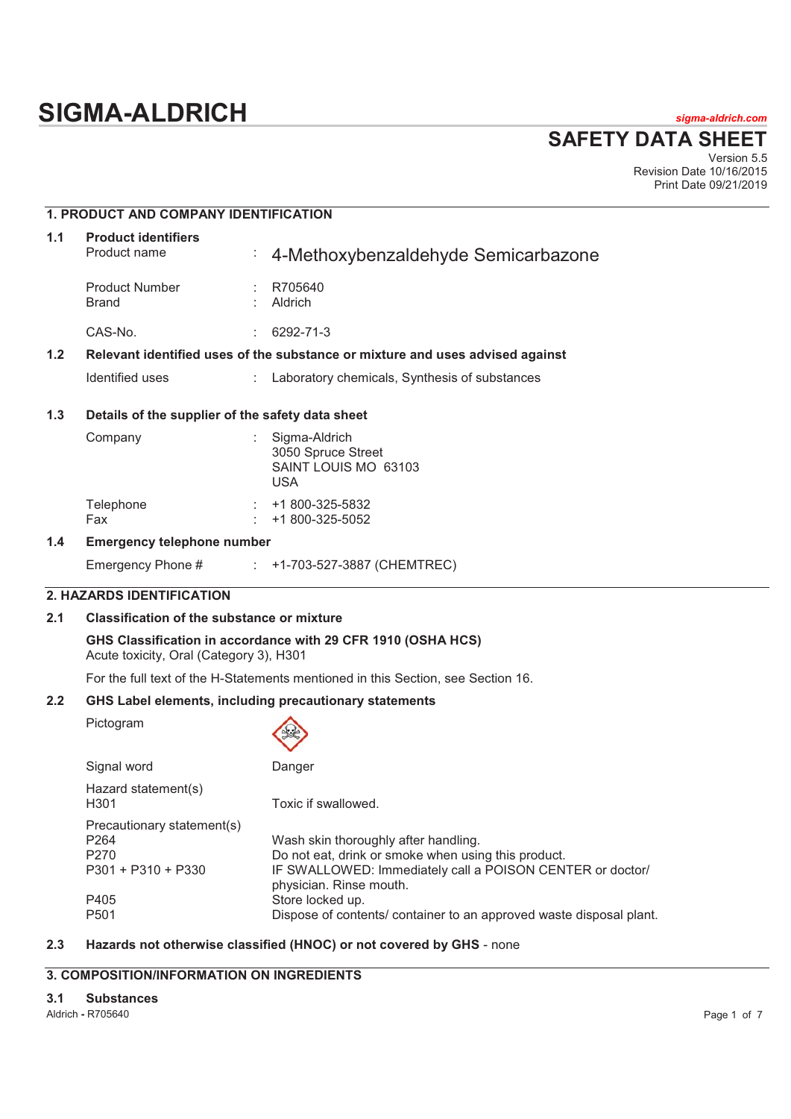# **SIGMA-ALDRICH** *sigma-aldrich.com*

**SAFETY DATA SHEET**

Version 5.5 Revision Date 10/16/2015 Print Date 09/21/2019

# **1. PRODUCT AND COMPANY IDENTIFICATION**

| 1.1 | <b>Product identifiers</b><br>Product name                                    | ÷. | 4-Methoxybenzaldehyde Semicarbazone           |  |
|-----|-------------------------------------------------------------------------------|----|-----------------------------------------------|--|
|     | <b>Product Number</b><br>Brand                                                |    | R705640<br>Aldrich                            |  |
|     | CAS-No.                                                                       |    | 6292-71-3                                     |  |
| 1.2 | Relevant identified uses of the substance or mixture and uses advised against |    |                                               |  |
|     | Identified uses                                                               |    | Laboratory chemicals, Synthesis of substances |  |
| 1.3 | Details of the supplier of the safety data sheet                              |    |                                               |  |
|     | Compony                                                                       |    | . Ciamo Aldrich                               |  |

# Company : Sigma-Aldrich 3050 Spruce Street SAINT LOUIS MO 63103 USA Telephone : +1 800-325-5832 Fax : +1 800-325-5052

# **1.4 Emergency telephone number**

Emergency Phone # : +1-703-527-3887 (CHEMTREC)

# **2. HAZARDS IDENTIFICATION**

# **2.1 Classification of the substance or mixture**

**GHS Classification in accordance with 29 CFR 1910 (OSHA HCS)**  Acute toxicity, Oral (Category 3), H301

For the full text of the H-Statements mentioned in this Section, see Section 16.

#### **2.2 GHS Label elements, including precautionary statements**

Pictogram

| Signal word                                                              | Danger                                                                                                                                                                                                  |
|--------------------------------------------------------------------------|---------------------------------------------------------------------------------------------------------------------------------------------------------------------------------------------------------|
| Hazard statement(s)<br>H301                                              | Toxic if swallowed.                                                                                                                                                                                     |
| Precautionary statement(s)<br>P264<br>P270<br>P301 + P310 + P330<br>P405 | Wash skin thoroughly after handling.<br>Do not eat, drink or smoke when using this product.<br>IF SWALLOWED: Immediately call a POISON CENTER or doctor/<br>physician. Rinse mouth.<br>Store locked up. |
| P501                                                                     | Dispose of contents/ container to an approved waste disposal plant.                                                                                                                                     |
|                                                                          |                                                                                                                                                                                                         |

# **2.3 Hazards not otherwise classified (HNOC) or not covered by GHS** - none

# **3. COMPOSITION/INFORMATION ON INGREDIENTS**

#### **3.1 Substances**

Aldrich **-** R705640 Page 1 of 7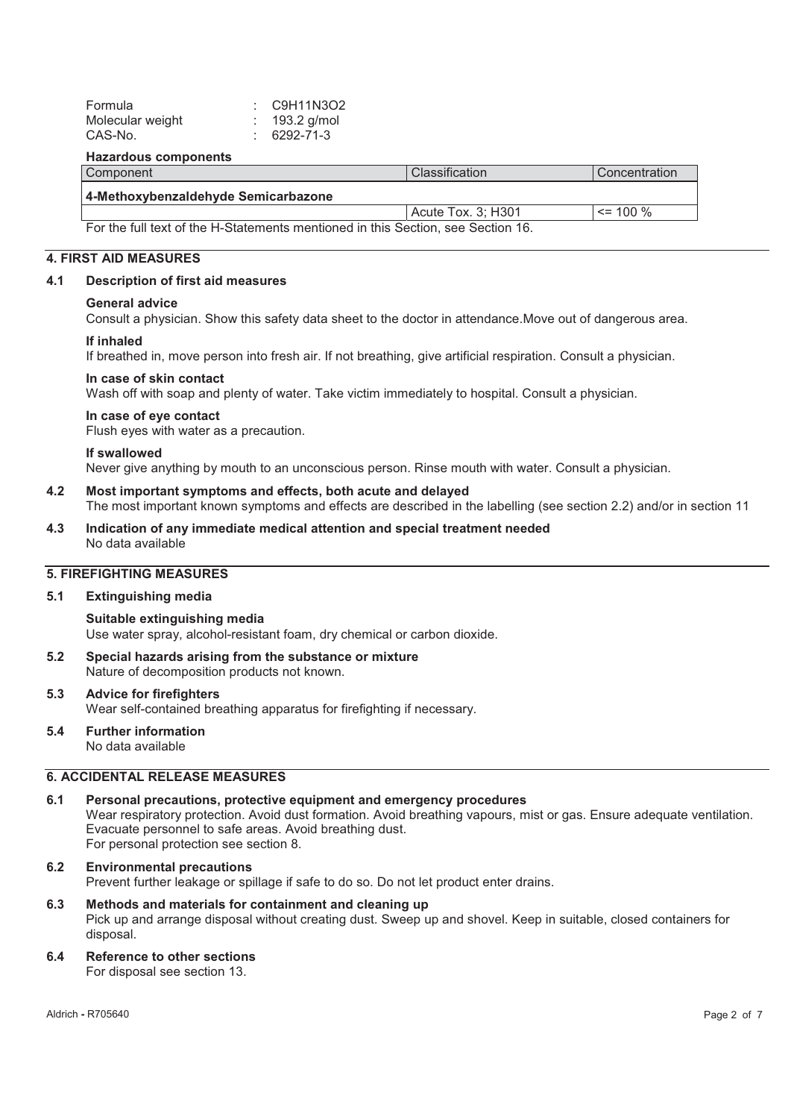| Formula          | $\therefore$ C9H11N3O2 |
|------------------|------------------------|
| Molecular weight | : $193.2$ g/mol        |
| CAS-No.          | $: 6292 - 71 - 3$      |

#### **Hazardous components**

| Component                                                                        | Classification     | l Concentration |
|----------------------------------------------------------------------------------|--------------------|-----------------|
| 4-Methoxybenzaldehyde Semicarbazone                                              |                    |                 |
|                                                                                  | Acute Tox. 3: H301 | $\le$ 100 %     |
| For the full text of the H-Statements mentioned in this Section, see Section 16. |                    |                 |

# **4. FIRST AID MEASURES**

#### **4.1 Description of first aid measures**

#### **General advice**

Consult a physician. Show this safety data sheet to the doctor in attendance.Move out of dangerous area.

#### **If inhaled**

If breathed in, move person into fresh air. If not breathing, give artificial respiration. Consult a physician.

#### **In case of skin contact**

Wash off with soap and plenty of water. Take victim immediately to hospital. Consult a physician.

#### **In case of eye contact**

Flush eyes with water as a precaution.

#### **If swallowed**

Never give anything by mouth to an unconscious person. Rinse mouth with water. Consult a physician.

# **4.2 Most important symptoms and effects, both acute and delayed**

The most important known symptoms and effects are described in the labelling (see section 2.2) and/or in section 11

**4.3 Indication of any immediate medical attention and special treatment needed**  No data available

# **5. FIREFIGHTING MEASURES**

#### **5.1 Extinguishing media**

#### **Suitable extinguishing media**  Use water spray, alcohol-resistant foam, dry chemical or carbon dioxide.

**5.2 Special hazards arising from the substance or mixture**  Nature of decomposition products not known.

# **5.3 Advice for firefighters**  Wear self-contained breathing apparatus for firefighting if necessary.

#### **5.4 Further information**  No data available

# **6. ACCIDENTAL RELEASE MEASURES**

#### **6.1 Personal precautions, protective equipment and emergency procedures**  Wear respiratory protection. Avoid dust formation. Avoid breathing vapours, mist or gas. Ensure adequate ventilation. Evacuate personnel to safe areas. Avoid breathing dust. For personal protection see section 8.

# **6.2 Environmental precautions**

Prevent further leakage or spillage if safe to do so. Do not let product enter drains.

# **6.3 Methods and materials for containment and cleaning up**  Pick up and arrange disposal without creating dust. Sweep up and shovel. Keep in suitable, closed containers for disposal.

# **6.4 Reference to other sections**

For disposal see section 13.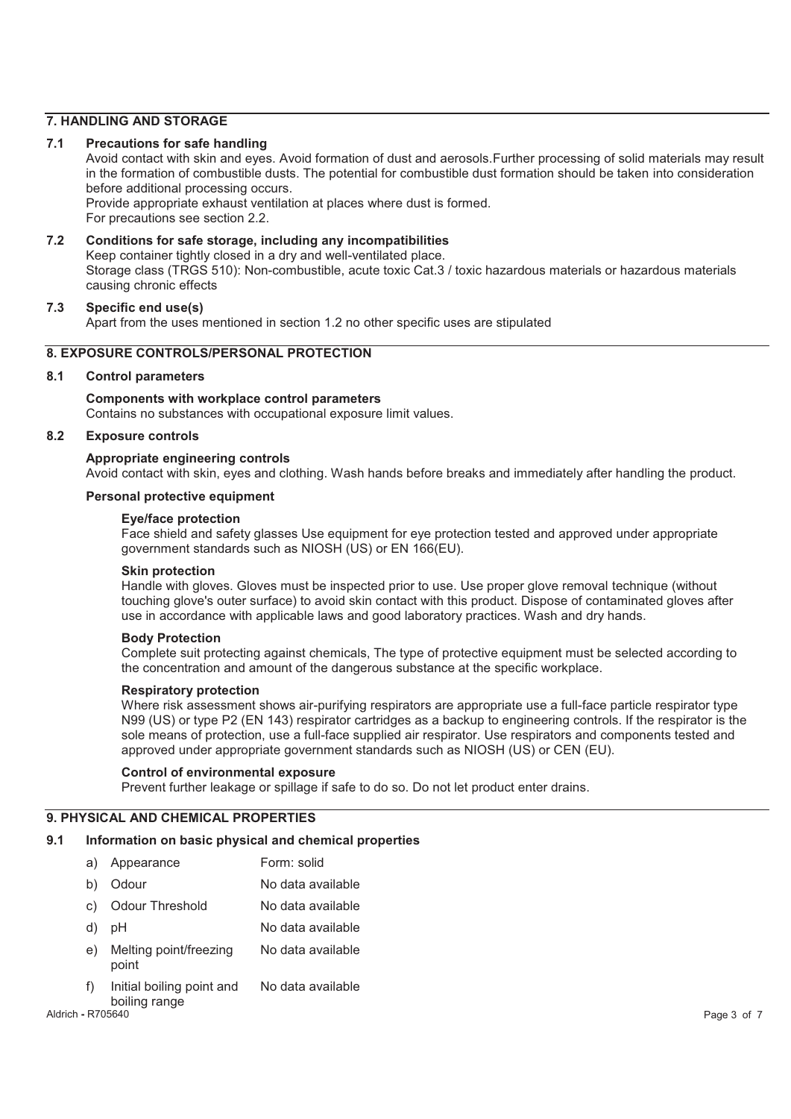# **7. HANDLING AND STORAGE**

#### **7.1 Precautions for safe handling**

Avoid contact with skin and eyes. Avoid formation of dust and aerosols.Further processing of solid materials may result in the formation of combustible dusts. The potential for combustible dust formation should be taken into consideration before additional processing occurs.

Provide appropriate exhaust ventilation at places where dust is formed. For precautions see section 2.2.

#### **7.2 Conditions for safe storage, including any incompatibilities**  Keep container tightly closed in a dry and well-ventilated place. Storage class (TRGS 510): Non-combustible, acute toxic Cat.3 / toxic hazardous materials or hazardous materials causing chronic effects

#### **7.3 Specific end use(s)**

Apart from the uses mentioned in section 1.2 no other specific uses are stipulated

# **8. EXPOSURE CONTROLS/PERSONAL PROTECTION**

#### **8.1 Control parameters**

**Components with workplace control parameters**  Contains no substances with occupational exposure limit values.

#### **8.2 Exposure controls**

#### **Appropriate engineering controls**

Avoid contact with skin, eyes and clothing. Wash hands before breaks and immediately after handling the product.

#### **Personal protective equipment**

#### **Eye/face protection**

Face shield and safety glasses Use equipment for eye protection tested and approved under appropriate government standards such as NIOSH (US) or EN 166(EU).

#### **Skin protection**

Handle with gloves. Gloves must be inspected prior to use. Use proper glove removal technique (without touching glove's outer surface) to avoid skin contact with this product. Dispose of contaminated gloves after use in accordance with applicable laws and good laboratory practices. Wash and dry hands.

#### **Body Protection**

Complete suit protecting against chemicals, The type of protective equipment must be selected according to the concentration and amount of the dangerous substance at the specific workplace.

#### **Respiratory protection**

Where risk assessment shows air-purifying respirators are appropriate use a full-face particle respirator type N99 (US) or type P2 (EN 143) respirator cartridges as a backup to engineering controls. If the respirator is the sole means of protection, use a full-face supplied air respirator. Use respirators and components tested and approved under appropriate government standards such as NIOSH (US) or CEN (EU).

#### **Control of environmental exposure**

Prevent further leakage or spillage if safe to do so. Do not let product enter drains.

#### **9. PHYSICAL AND CHEMICAL PROPERTIES**

#### **9.1 Information on basic physical and chemical properties**

| a) | Appearance                                                        | Form: solid       |
|----|-------------------------------------------------------------------|-------------------|
| b) | Odour                                                             | No data available |
| C) | Odour Threshold                                                   | No data available |
| d) | рH                                                                | No data available |
| e) | Melting point/freezing<br>point                                   | No data available |
| f) | Initial boiling point and<br>المستحدث والمستحدث والمتلأل والمناور | No data available |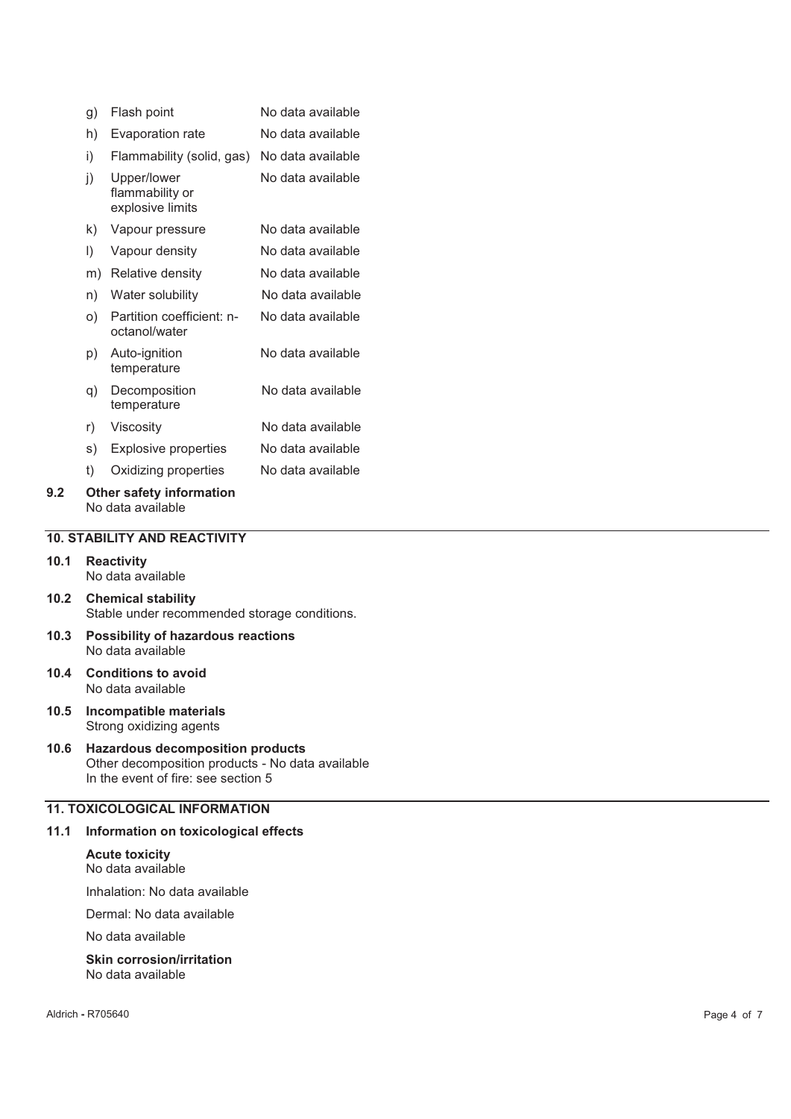|     | g) | Flash point                                        | No data available |
|-----|----|----------------------------------------------------|-------------------|
|     | h) | Evaporation rate                                   | No data available |
|     | i) | Flammability (solid, gas)                          | No data available |
|     | j) | Upper/lower<br>flammability or<br>explosive limits | No data available |
|     | k) | Vapour pressure                                    | No data available |
|     | I) | Vapour density                                     | No data available |
|     | m) | Relative density                                   | No data available |
|     | n) | Water solubility                                   | No data available |
|     | O) | Partition coefficient: n-<br>octanol/water         | No data available |
|     | p) | Auto-ignition<br>temperature                       | No data available |
|     | q) | Decomposition<br>temperature                       | No data available |
|     | r) | Viscosity                                          | No data available |
|     | s) | <b>Explosive properties</b>                        | No data available |
|     | t) | Oxidizing properties                               | No data available |
| 9.2 |    | Other safety information                           |                   |

# No data available

# **10. STABILITY AND REACTIVITY**

- **10.1 Reactivity**  No data available
- **10.2 Chemical stability**  Stable under recommended storage conditions.
- **10.3 Possibility of hazardous reactions**  No data available
- **10.4 Conditions to avoid**  No data available
- **10.5 Incompatible materials**  Strong oxidizing agents
- **10.6 Hazardous decomposition products**  Other decomposition products - No data available In the event of fire: see section 5

# **11. TOXICOLOGICAL INFORMATION**

#### **11.1 Information on toxicological effects**

**Acute toxicity**  No data available

Inhalation: No data available

Dermal: No data available

No data available

**Skin corrosion/irritation**  No data available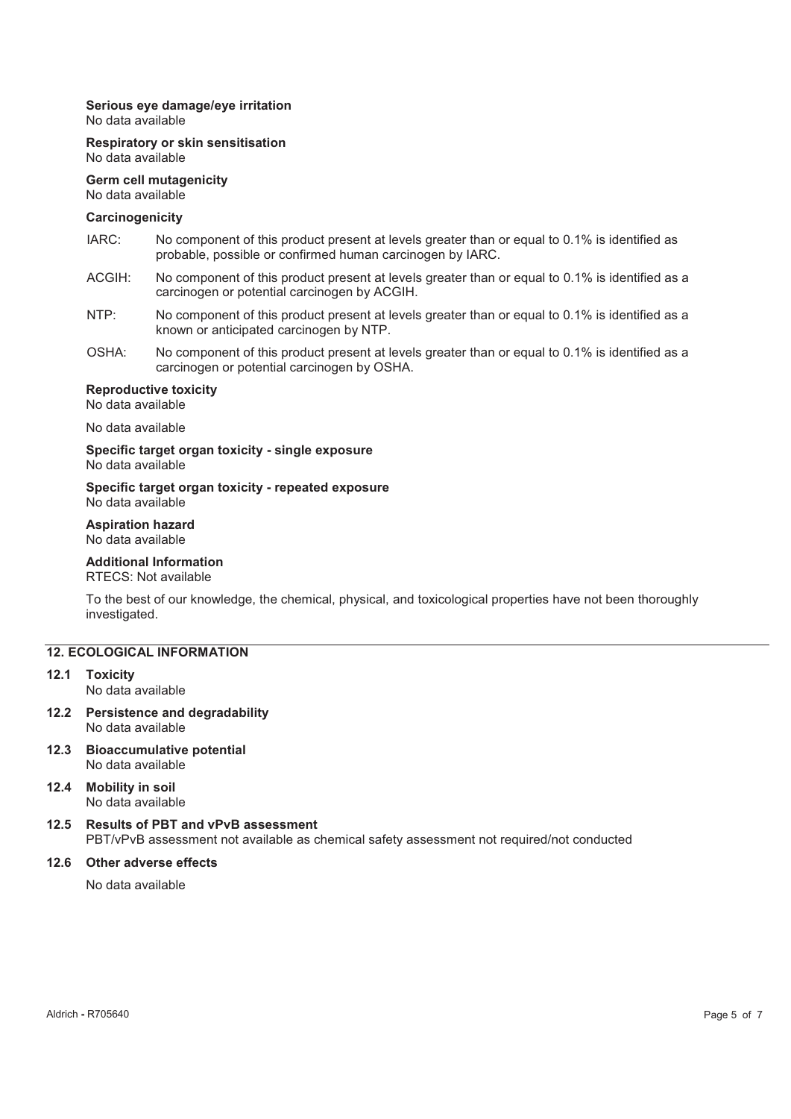#### **Serious eye damage/eye irritation**

No data available

#### **Respiratory or skin sensitisation**  No data available

**Germ cell mutagenicity**  No data available

#### **Carcinogenicity**

- IARC: No component of this product present at levels greater than or equal to 0.1% is identified as probable, possible or confirmed human carcinogen by IARC.
- ACGIH: No component of this product present at levels greater than or equal to 0.1% is identified as a carcinogen or potential carcinogen by ACGIH.
- NTP: No component of this product present at levels greater than or equal to 0.1% is identified as a known or anticipated carcinogen by NTP.
- OSHA: No component of this product present at levels greater than or equal to 0.1% is identified as a carcinogen or potential carcinogen by OSHA.

# **Reproductive toxicity**

No data available

No data available

**Specific target organ toxicity - single exposure**  No data available

#### **Specific target organ toxicity - repeated exposure**  No data available

# **Aspiration hazard**

No data available

# **Additional Information**

# RTECS: Not available

To the best of our knowledge, the chemical, physical, and toxicological properties have not been thoroughly investigated.

#### **12. ECOLOGICAL INFORMATION**

#### **12.1 Toxicity**  No data available

- **12.2 Persistence and degradability**  No data available
- **12.3 Bioaccumulative potential**  No data available
- **12.4 Mobility in soil**  No data available

#### **12.5 Results of PBT and vPvB assessment**  PBT/vPvB assessment not available as chemical safety assessment not required/not conducted

#### **12.6 Other adverse effects**

No data available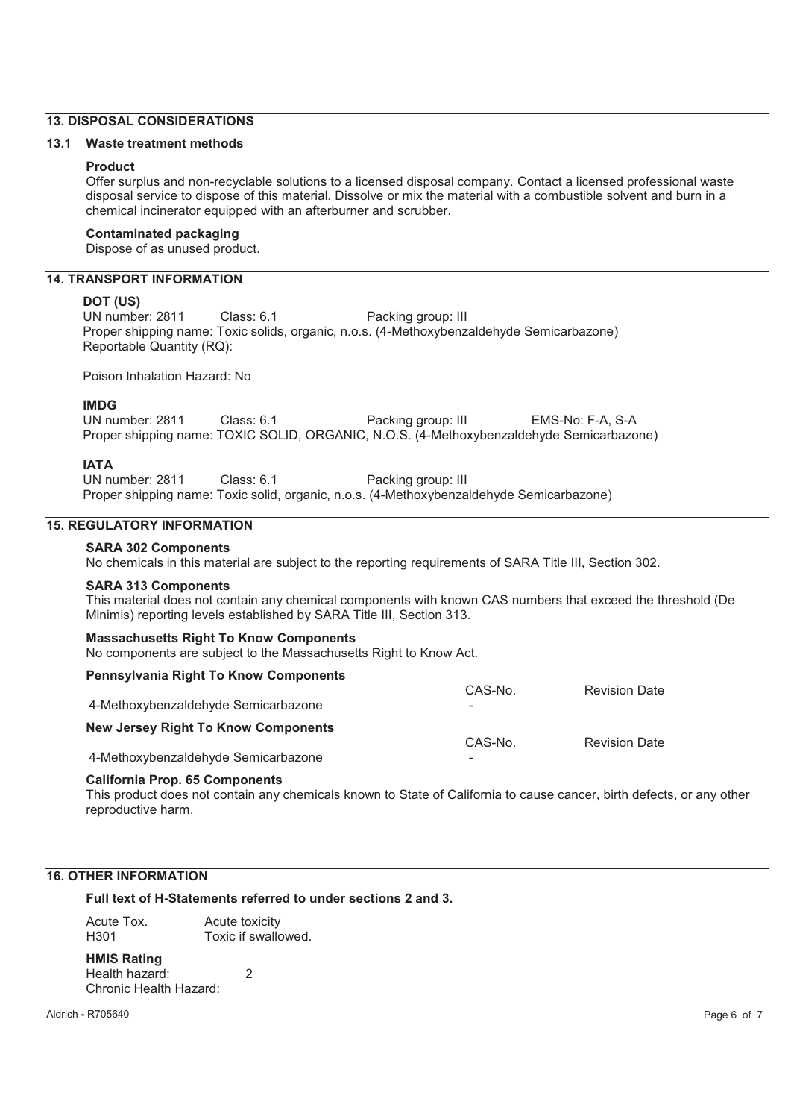# **13. DISPOSAL CONSIDERATIONS**

#### **13.1 Waste treatment methods**

#### **Product**

Offer surplus and non-recyclable solutions to a licensed disposal company. Contact a licensed professional waste disposal service to dispose of this material. Dissolve or mix the material with a combustible solvent and burn in a chemical incinerator equipped with an afterburner and scrubber.

#### **Contaminated packaging**

Dispose of as unused product.

# **14. TRANSPORT INFORMATION**

#### **DOT (US)**

UN number: 2811 Class: 6.1 Packing group: III Proper shipping name: Toxic solids, organic, n.o.s. (4-Methoxybenzaldehyde Semicarbazone) Reportable Quantity (RQ):

Poison Inhalation Hazard: No

#### **IMDG**

UN number: 2811 Class: 6.1 Packing group: III EMS-No: F-A, S-A Proper shipping name: TOXIC SOLID, ORGANIC, N.O.S. (4-Methoxybenzaldehyde Semicarbazone)

#### **IATA**

UN number: 2811 Class: 6.1 Packing group: III Proper shipping name: Toxic solid, organic, n.o.s. (4-Methoxybenzaldehyde Semicarbazone)

#### **15. REGULATORY INFORMATION**

# **SARA 302 Components**

No chemicals in this material are subject to the reporting requirements of SARA Title III, Section 302.

#### **SARA 313 Components**

This material does not contain any chemical components with known CAS numbers that exceed the threshold (De Minimis) reporting levels established by SARA Title III, Section 313.

#### **Massachusetts Right To Know Components**

No components are subject to the Massachusetts Right to Know Act.

| <b>Pennsylvania Right To Know Components</b> |         |                      |
|----------------------------------------------|---------|----------------------|
| 4-Methoxybenzaldehyde Semicarbazone          | CAS-No. | <b>Revision Date</b> |
| <b>New Jersey Right To Know Components</b>   | CAS-No. | <b>Revision Date</b> |
| 4-Methoxybenzaldehyde Semicarbazone          |         |                      |

#### **California Prop. 65 Components**

This product does not contain any chemicals known to State of California to cause cancer, birth defects, or any other reproductive harm.

#### **16. OTHER INFORMATION**

#### **Full text of H-Statements referred to under sections 2 and 3.**

| Acute Tox. | Acute toxicity      |
|------------|---------------------|
| H301       | Toxic if swallowed. |

# **HMIS Rating**

Health hazard: 2 Chronic Health Hazard: